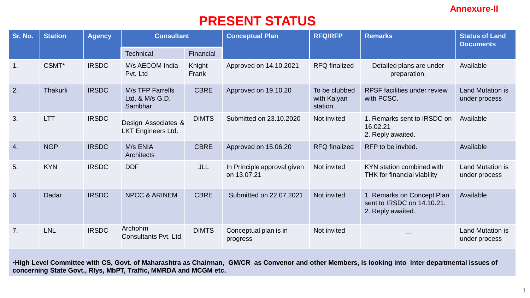## **Annexure-II**

## **PRESENT STATUS**

| Sr. No. | <b>Station</b> | <b>Agency</b> | <b>Consultant</b>                                |                 | <b>Conceptual Plan</b>                     | <b>RFQ/RFP</b>                          | <b>Remarks</b>                                                                | <b>Status of Land</b><br><b>Documents</b> |
|---------|----------------|---------------|--------------------------------------------------|-----------------|--------------------------------------------|-----------------------------------------|-------------------------------------------------------------------------------|-------------------------------------------|
|         |                |               | Technical                                        | Financial       |                                            |                                         |                                                                               |                                           |
| 1.      | CSMT*          | <b>IRSDC</b>  | M/s AECOM India<br>Pvt. Ltd                      | Knight<br>Frank | Approved on 14.10.2021                     | <b>RFQ</b> finalized                    | Detailed plans are under<br>preparation.                                      | Available                                 |
| 2.      | Thakurli       | <b>IRSDC</b>  | M/s TFP Farrells<br>Ltd. & M/s G.D.<br>Sambhar   | <b>CBRE</b>     | Approved on 19.10.20                       | To be clubbed<br>with Kalyan<br>station | <b>RPSF</b> facilities under review<br>with PCSC.                             | <b>Land Mutation is</b><br>under process  |
| 3.      | <b>LTT</b>     | <b>IRSDC</b>  | Design Associates &<br><b>LKT Engineers Ltd.</b> | <b>DIMTS</b>    | Submitted on 23,10,2020                    | Not invited                             | 1. Remarks sent to IRSDC on<br>16.02.21<br>2. Reply awaited.                  | Available                                 |
| 4.      | <b>NGP</b>     | <b>IRSDC</b>  | M/s ENIA<br><b>Architects</b>                    | <b>CBRE</b>     | Approved on 15.06.20                       | <b>RFQ</b> finalized                    | RFP to be invited.                                                            | Available                                 |
| 5.      | <b>KYN</b>     | <b>IRSDC</b>  | <b>DDF</b>                                       | JLL             | In Principle approval given<br>on 13.07.21 | Not invited                             | KYN station combined with<br>THK for financial viability                      | <b>Land Mutation is</b><br>under process  |
| 6.      | Dadar          | <b>IRSDC</b>  | <b>NPCC &amp; ARINEM</b>                         | <b>CBRE</b>     | Submitted on 22.07.2021                    | Not invited                             | 1. Remarks on Concept Plan<br>sent to IRSDC on 14.10.21.<br>2. Reply awaited. | Available                                 |
| 7.      | <b>LNL</b>     | <b>IRSDC</b>  | Archohm<br>Consultants Pvt. Ltd.                 | <b>DIMTS</b>    | Conceptual plan is in<br>progress          | Not invited                             |                                                                               | <b>Land Mutation is</b><br>under process  |

•**High Level Committee with CS, Govt. of Maharashtra as Chairman, GM/CR as Convenor and other Members, is looking into inter departmental issues of concerning State Govt., Rlys, MbPT, Traffic, MMRDA and MCGM etc.**